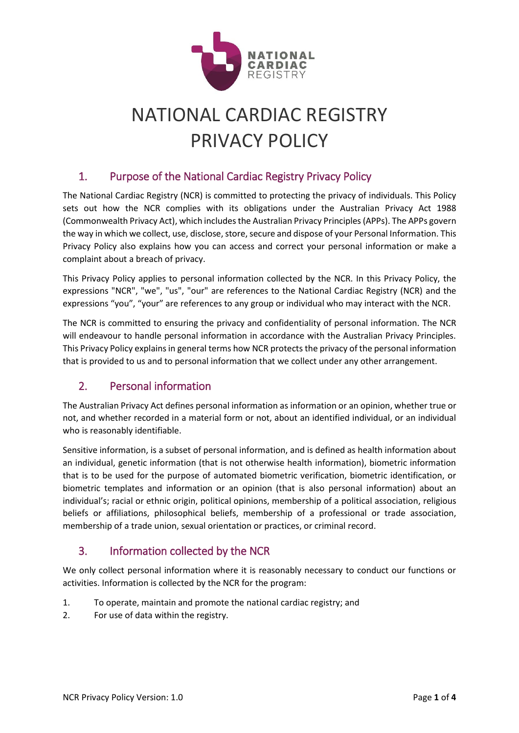

# NATIONAL CARDIAC REGISTRY PRIVACY POLICY

# 1. Purpose of the National Cardiac Registry Privacy Policy

The National Cardiac Registry (NCR) is committed to protecting the privacy of individuals. This Policy sets out how the NCR complies with its obligations under the Australian Privacy Act 1988 (Commonwealth Privacy Act), which includes the Australian Privacy Principles (APPs). The APPs govern the way in which we collect, use, disclose, store, secure and dispose of your Personal Information. This Privacy Policy also explains how you can access and correct your personal information or make a complaint about a breach of privacy.

This Privacy Policy applies to personal information collected by the NCR. In this Privacy Policy, the expressions "NCR", "we", "us", "our" are references to the National Cardiac Registry (NCR) and the expressions "you", "your" are references to any group or individual who may interact with the NCR.

The NCR is committed to ensuring the privacy and confidentiality of personal information. The NCR will endeavour to handle personal information in accordance with the Australian Privacy Principles. This Privacy Policy explains in general terms how NCR protects the privacy of the personal information that is provided to us and to personal information that we collect under any other arrangement.

# 2. Personal information

The Australian Privacy Act defines personal information as information or an opinion, whether true or not, and whether recorded in a material form or not, about an identified individual, or an individual who is reasonably identifiable.

Sensitive information, is a subset of personal information, and is defined as health information about an individual, genetic information (that is not otherwise health information), biometric information that is to be used for the purpose of automated biometric verification, biometric identification, or biometric templates and information or an opinion (that is also personal information) about an individual's; racial or ethnic origin, political opinions, membership of a political association, religious beliefs or affiliations, philosophical beliefs, membership of a professional or trade association, membership of a trade union, sexual orientation or practices, or criminal record.

# 3. Information collected by the NCR

We only collect personal information where it is reasonably necessary to conduct our functions or activities. Information is collected by the NCR for the program:

- 1. To operate, maintain and promote the national cardiac registry; and
- 2. For use of data within the registry.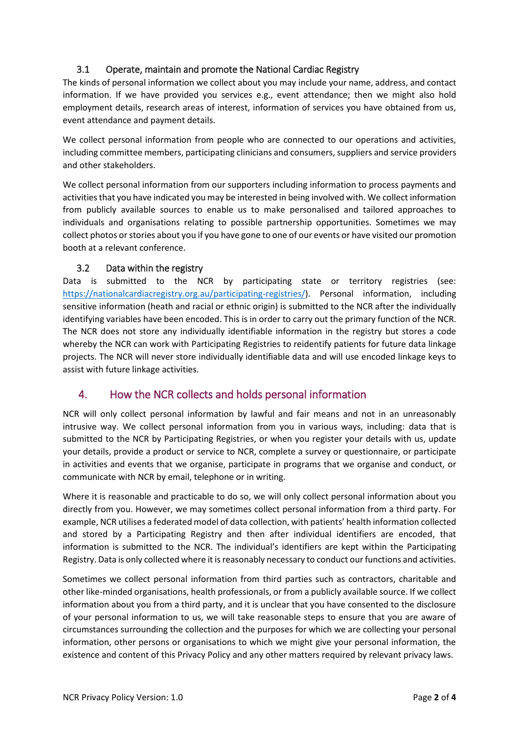#### 3.1 Operate, maintain and promote the National Cardiac Registry

The kinds of personal information we collect about you may include your name, address, and contact information. If we have provided you services e.g., event attendance; then we might also hold employment details, research areas of interest, information of services you have obtained from us, event attendance and payment details.

We collect personal information from people who are connected to our operations and activities, including committee members, participating clinicians and consumers, suppliers and service providers and other stakeholders.

We collect personal information from our supporters including information to process payments and activities that you have indicated you may be interested in being involved with. We collect information from publicly available sources to enable us to make personalised and tailored approaches to individuals and organisations relating to possible partnership opportunities. Sometimes we may collect photos or stories about you if you have gone to one of our events or have visited our promotion booth at a relevant conference.

#### 3.2 Data within the registry

Data is submitted to the NCR by participating state or territory registries (see: [https://nationalcardiacregistry.org.au/participating-registries/\)](https://nationalcardiacregistry.org.au/participating-registries/). Personal information, including sensitive information (heath and racial or ethnic origin) is submitted to the NCR after the individually identifying variables have been encoded. This is in order to carry out the primary function of the NCR. The NCR does not store any individually identifiable information in the registry but stores a code whereby the NCR can work with Participating Registries to reidentify patients for future data linkage projects. The NCR will never store individually identifiable data and will use encoded linkage keys to assist with future linkage activities.

### 4. How the NCR collects and holds personal information

NCR will only collect personal information by lawful and fair means and not in an unreasonably intrusive way. We collect personal information from you in various ways, including: data that is submitted to the NCR by Participating Registries, or when you register your details with us, update your details, provide a product or service to NCR, complete a survey or questionnaire, or participate in activities and events that we organise, participate in programs that we organise and conduct, or communicate with NCR by email, telephone or in writing.

Where it is reasonable and practicable to do so, we will only collect personal information about you directly from you. However, we may sometimes collect personal information from a third party. For example, NCR utilises a federated model of data collection, with patients' health information collected and stored by a Participating Registry and then after individual identifiers are encoded, that information is submitted to the NCR. The individual's identifiers are kept within the Participating Registry. Data is only collected where it is reasonably necessary to conduct our functions and activities.

Sometimes we collect personal information from third parties such as contractors, charitable and other like-minded organisations, health professionals, or from a publicly available source. If we collect information about you from a third party, and it is unclear that you have consented to the disclosure of your personal information to us, we will take reasonable steps to ensure that you are aware of circumstances surrounding the collection and the purposes for which we are collecting your personal information, other persons or organisations to which we might give your personal information, the existence and content of this Privacy Policy and any other matters required by relevant privacy laws.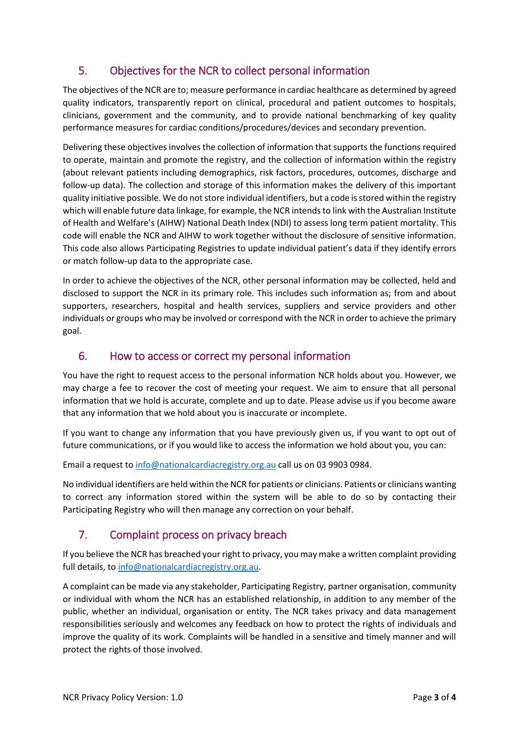# 5. Objectives for the NCR to collect personal information

The objectives of the NCR are to; measure performance in cardiac healthcare as determined by agreed quality indicators, transparently report on clinical, procedural and patient outcomes to hospitals, clinicians, government and the community, and to provide national benchmarking of key quality performance measures for cardiac conditions/procedures/devices and secondary prevention.

Delivering these objectives involves the collection of information that supports the functions required to operate, maintain and promote the registry, and the collection of information within the registry (about relevant patients including demographics, risk factors, procedures, outcomes, discharge and follow-up data). The collection and storage of this information makes the delivery of this important quality initiative possible. We do not store individual identifiers, but a code is stored within the registry which will enable future data linkage, for example, the NCR intends to link with the Australian Institute of Health and Welfare's (AIHW) National Death Index (NDI) to assess long term patient mortality. This code will enable the NCR and AIHW to work together without the disclosure of sensitive information. This code also allows Participating Registries to update individual patient's data if they identify errors or match follow-up data to the appropriate case.

In order to achieve the objectives of the NCR, other personal information may be collected, held and disclosed to support the NCR in its primary role. This includes such information as; from and about supporters, researchers, hospital and health services, suppliers and service providers and other individuals or groups who may be involved or correspond with the NCR in order to achieve the primary goal.

## 6. How to access or correct my personal information

You have the right to request access to the personal information NCR holds about you. However, we may charge a fee to recover the cost of meeting your request. We aim to ensure that all personal information that we hold is accurate, complete and up to date. Please advise us if you become aware that any information that we hold about you is inaccurate or incomplete.

If you want to change any information that you have previously given us, if you want to opt out of future communications, or if you would like to access the information we hold about you, you can:

Email a request t[o info@nationalcardiacregistry.org.au](mailto:info@nationalcardiacregistry.org.au) call us on 03 9903 0984.

No individual identifiers are held within the NCR for patients or clinicians. Patients or clinicians wanting to correct any information stored within the system will be able to do so by contacting their Participating Registry who will then manage any correction on your behalf.

# 7. Complaint process on privacy breach

If you believe the NCR has breached your right to privacy, you may make a written complaint providing full details, t[o info@nationalcardiacregistry.org.au.](mailto:info@nationalcardiacregistry.org.au)

A complaint can be made via any stakeholder, Participating Registry, partner organisation, community or individual with whom the NCR has an established relationship, in addition to any member of the public, whether an individual, organisation or entity. The NCR takes privacy and data management responsibilities seriously and welcomes any feedback on how to protect the rights of individuals and improve the quality of its work. Complaints will be handled in a sensitive and timely manner and will protect the rights of those involved.